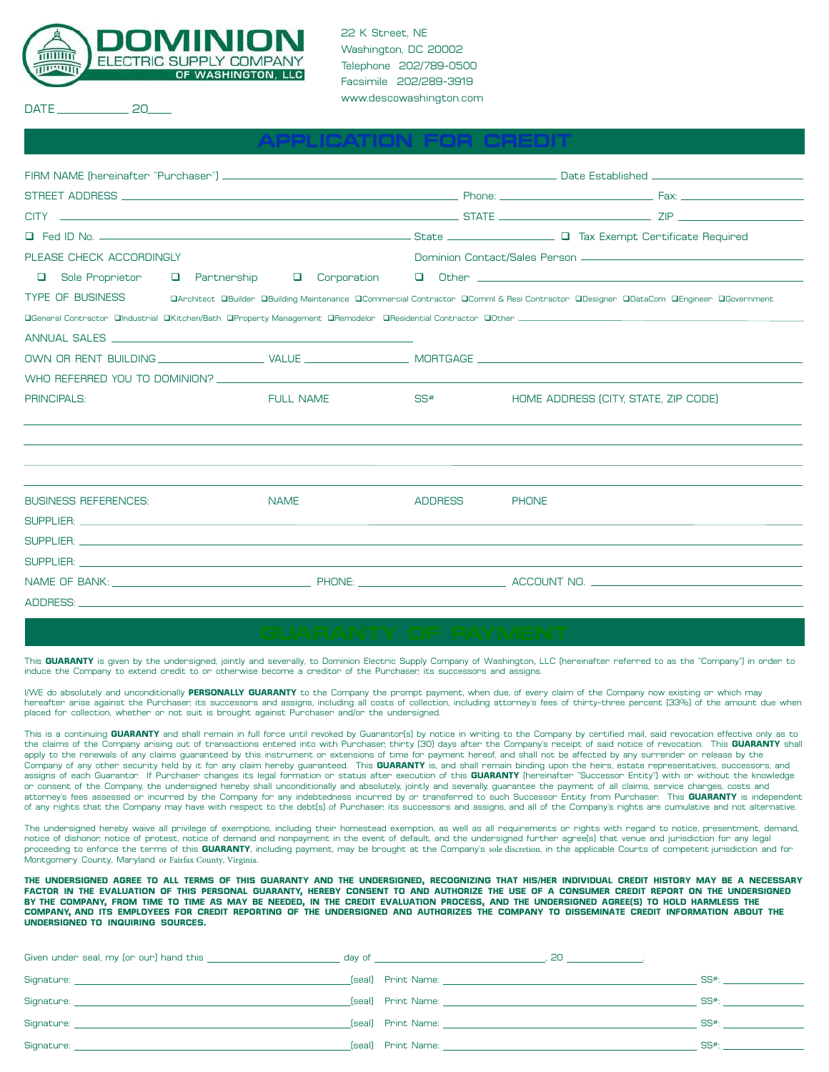

22 K Street, NE Washington, DC 20002 Telephone 202/789-0500 Facsimile 202/289-3919 www.descowashington.com

**APPLICATION FOR CREDIT**

DATE 20

| The Fed ID No. 2008 Contract and Contract and Contract Contract and Contract and Contract and Contract and Contract and Contract and Contract and Contract and Contract and Contract and Contract and Contract and Contract an      |                  |                |                                                                                                                                    |  |
|-------------------------------------------------------------------------------------------------------------------------------------------------------------------------------------------------------------------------------------|------------------|----------------|------------------------------------------------------------------------------------------------------------------------------------|--|
| PLEASE CHECK ACCORDINGLY                                                                                                                                                                                                            |                  |                |                                                                                                                                    |  |
| □<br>Sole Proprietor                                                                                                                                                                                                                |                  |                |                                                                                                                                    |  |
| <b>TYPE OF BUSINESS</b>                                                                                                                                                                                                             |                  |                | DArchitect DBuilder OBuilding Maintenance OCommercial Contractor OComml & Resi Contractor ODesigner ODataCom OEngineer OGovernment |  |
|                                                                                                                                                                                                                                     |                  |                |                                                                                                                                    |  |
| ANNUAL SALES AND A SALE AND A SALE AND A SALE AND A SALE AND A SALE AND A SALE AND A SALE AND A SALE AND A SALE AND A SALE AND A SALE AND A SALE AND A SALE AND A SALE AND A SALE AND A SALE AND A SALE AND A SALE AND A SALE       |                  |                |                                                                                                                                    |  |
|                                                                                                                                                                                                                                     |                  |                |                                                                                                                                    |  |
| WHO REFERRED YOU TO DOMINION? THE SERVICE SERVICE SERVICE SERVICE SERVICE SERVICE SERVICE SERVICE SERVICE SERVICE SERVICE SERVICE SERVICE SERVICE SERVICE SERVICE SERVICE SERVICE SERVICE SERVICE SERVICE SERVICE SERVICE SERV      |                  |                |                                                                                                                                    |  |
| <b>PRINCIPALS:</b>                                                                                                                                                                                                                  | <b>FULL NAME</b> | SS#            | HOME ADDRESS (CITY, STATE, ZIP CODE)                                                                                               |  |
|                                                                                                                                                                                                                                     |                  |                |                                                                                                                                    |  |
|                                                                                                                                                                                                                                     |                  |                |                                                                                                                                    |  |
|                                                                                                                                                                                                                                     |                  |                |                                                                                                                                    |  |
| <b>BUSINESS REFERENCES:</b>                                                                                                                                                                                                         | <b>NAME</b>      | <b>ADDRESS</b> | <b>PHONE</b>                                                                                                                       |  |
| SUPPLIER: <b>SUPPLIER:</b> The contract of the contract of the contract of the contract of the contract of the contract of the contract of the contract of the contract of the contract of the contract of the contract of the cont |                  |                |                                                                                                                                    |  |
| SUPPLIER: <b>SUPPLIER:</b> The contract of the contract of the contract of the contract of the contract of the contract of the contract of the contract of the contract of the contract of the contract of the contract of the cont |                  |                |                                                                                                                                    |  |
|                                                                                                                                                                                                                                     |                  |                |                                                                                                                                    |  |
|                                                                                                                                                                                                                                     |                  |                |                                                                                                                                    |  |
| ADDRESS: AND ANNOUNCED AND ACCOUNT AND ACCOUNT AND ACCOUNT AND ACCOUNT AND ACCOUNT AND ACCOUNT AND ACCOUNT AND                                                                                                                      |                  |                |                                                                                                                                    |  |

This **GUARANTY** is given by the undersigned, jointly and severally, to Dominion Electric Supply Company of Washington, LLC (hereinafter referred to as the "Company") in order to induce the Company to extend credit to or otherwise become a creditor of the Purchaser, its successors and assigns.

I/WE do absolutely and unconditionally **PERSONALLY GUARANTY** to the Company the prompt payment, when due, of every claim of the Company now existing or which may hereafter arise against the Purchaser, its successors and assigns, including all costs of collection, including attorney's fees of thirty-three percent (33%) of the amount due when<br>placed for collection, whether or not sui

This is a continuing **GUARANTY** and shall remain in full force until revoked by Guarantor(s) by notice in writing to the Company by certified mail, said revocation effective only as to the claims of the Company arising out of transactions entered into with Purchaser, thirty (30) days after the Company's receipt of said notice of revocation. This **GUARANTY** shall apply to the renewals of any claims guaranteed by this instrument or extensions of time for payment hereof, and shall not be affected by any surrender or release by the Company of any other security held by it for any claim hereby guaranteed. This **GUARANTY** is, and shall remain binding upon the heirs, estate representatives, successors, and assigns of each Guarantor. If Purchaser changes its legal formation or status after execution of this **GUARANTY** (hereinafter "Successor Entity") with or without the knowledge or consent of the Company, the undersigned hereby shall unconditionally and absolutely, jointly and severally, guarantee the payment of all claims, service charges, costs and attorney's fees assessed or incurred by the Company for any indebtedness incurred by or transferred to such Successor Entity from Purchaser. This **GUARANTY** is independent of any rights that the Company may have with respect to the debt(s) of Purchaser, its successors and assigns, and all of the Company's rights are cumulative and not alternative.

The undersigned hereby waive all privilege of exemptions, including their homestead exemption, as well as all requirements or rights with regard to notice, presentment, demand, notice of dishonor, notice of protest, notice of demand and nonpayment in the event of default, and the undersigned further agree(s) that venue and jurisdiction for any legal proceeding to enforce the terms of this **GUARANTY**, including payment, may be brought at the Company's sole discretion, in the applicable Courts of competent jurisdiction and for Montgomery County, Maryland or Fairfax County, Virginia.

**THE UNDERSIGNED AGREE TO ALL TERMS OF THIS GUARANTY AND THE UNDERSIGNED, RECOGNIZING THAT HIS/HER INDIVIDUAL CREDIT HISTORY MAY BE A NECESSARY FACTOR IN THE EVALUATION OF THIS PERSONAL GUARANTY, HEREBY CONSENT TO AND AUTHORIZE THE USE OF A CONSUMER CREDIT REPORT ON THE UNDERSIGNED BY THE COMPANY, FROM TIME TO TIME AS MAY BE NEEDED, IN THE CREDIT EVALUATION PROCESS, AND THE UNDERSIGNED AGREE(S) TO HOLD HARMLESS THE COMPANY, AND ITS EMPLOYEES FOR CREDIT REPORTING OF THE UNDERSIGNED AND AUTHORIZES THE COMPANY TO DISSEMINATE CREDIT INFORMATION ABOUT THE UNDERSIGNED TO INQUIRING SOURCES.**

| Given under seal, my (or our) hand this | day of the contract of the contract of the contract of the contract of the contract of the contract of the contract of the contract of the contract of the contract of the contract of the contract of the contract of the con<br><b>20 <i>Company</i></b> |             |
|-----------------------------------------|------------------------------------------------------------------------------------------------------------------------------------------------------------------------------------------------------------------------------------------------------------|-------------|
|                                         |                                                                                                                                                                                                                                                            | SS#         |
| Signature:                              | (seal) Print Name: The Contract of the Contract of the Contract of the Contract of the Contract of the Contract of the Contract of the Contract of the Contract of the Contract of the Contract of the Contract of the Contrac                             | $SS^{\#}$ : |
|                                         |                                                                                                                                                                                                                                                            | $SS^{\#}$ : |
| Signature:                              | (seal) Print Name: the contract of the contract of the contract of the contract of the contract of the contract of the contract of the contract of the contract of the contract of the contract of the contract of the contrac                             | $SS^{\#}$ : |